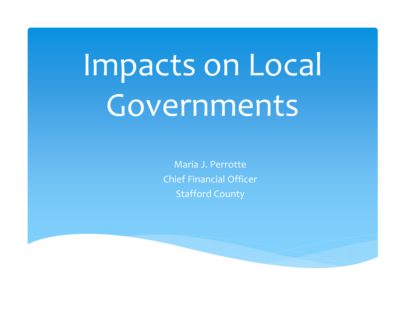# Impacts on Local Governments

Maria J. Perrotte Chief Financial Officer Stafford County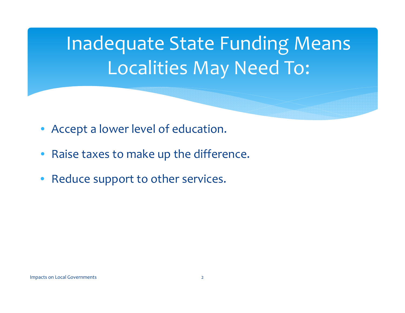Inadequate State Funding Means Localities May Need To:

- Accept <sup>a</sup> lower level of education.
- $\bullet$ Raise taxes to make up the difference.
- $\bullet$ • Reduce support to other services.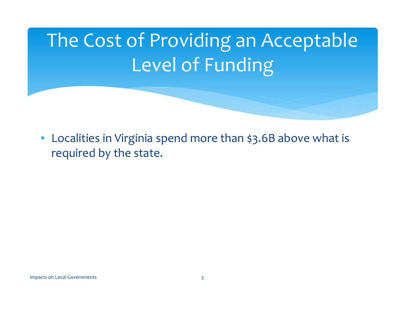# The Cost of Providing an Acceptable Level of Funding

• Localities in Virginia spend more than \$3.6B above what is required by the state.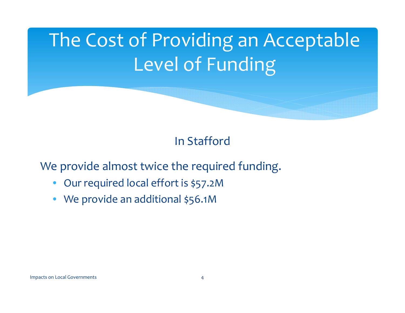# The Cost of Providing an Acceptable Level of Funding

### In Stafford

We provide almost twice the required funding.

- $\bullet$ Our required local effort is \$57.2M
- We provide an additional \$56.1M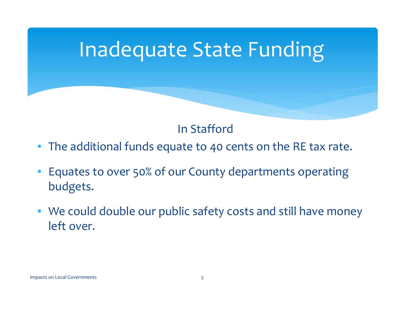### Inadequate State Funding

### In Stafford

- The additional funds equate to 40 cents on the RE tax rate.
- Equates to over 50% of our County departments operating budgets.
- We could double our public safety costs and still have money left over.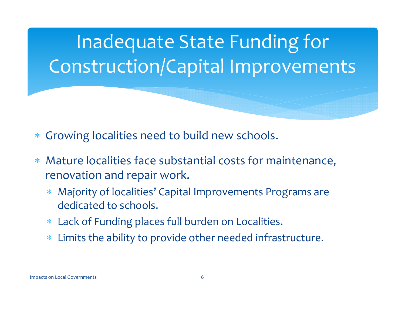## Inadequate State Funding for Construction/Capital Improvements

- ∗ Growing localities need to build new schools.
- $\ast$  Mature localities face substantial costs for maintenance, renovation and repair work.
	- ∗ Majority of localities' Capital Improvements Programs are dedicated to schools.
	- Lack of Funding places full burden on Localities.
	- $\ast$ Limits the ability to provide other needed infrastructure.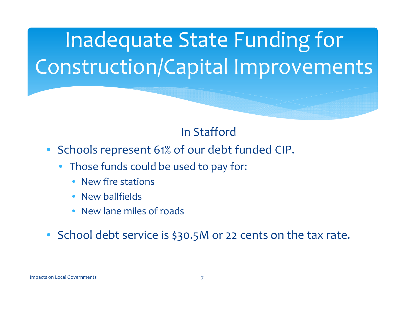Inadequate State Funding for Construction/Capital Improvements

### In Stafford

- Schools represen<sup>t</sup> 61% of our debt funded CIP.
	- • Those funds could be used to pay for:
		- New fire stations
		- $\bullet$ • New ballfields
		- New lane miles of roads
- School debt service is \$30.5M or <sup>22</sup> cents on the tax rate.